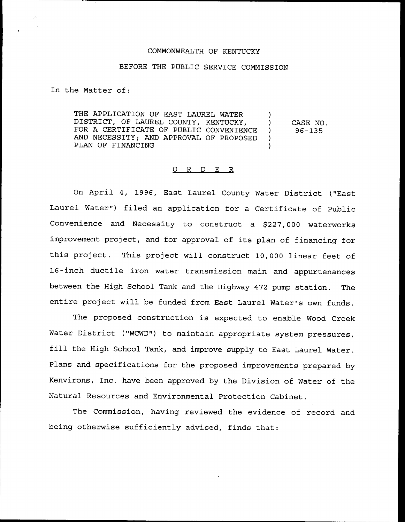## COMMONWEALTH QF KENTUCKY

## BEFORE THE PUBLIC SERVICE COMMISSION

In the Matter of:

THE APPLICATION OF EAST LAUREL WATER DISTRICT, OF LAUREL COUNTY, KENTUCKY, FOR A CERTIFICATE OF PUBLIC CONVENIENCE AND NECESSITY; AND APPROVAL OF PROPOSED PLAN OF FINANCING ) ) CASE NO. ) 96-135 ) )

## 0 R <sup>D</sup> E R

On April 4, 1996, East Laurel County Water District ("East Laurel Water") filed an application for a Certificate of Public Convenience and Necessity to construct a \$227,000 waterworks improvement project, and for approval of its plan of financing for this project. This project will construct 10,000 linear feet of 16-inch ductile iron water transmission main and appurtenances between the High School Tank and the Highway 472 pump station. The entire project will be funded from East Laurel Water's own funds.

The proposed construction is expected to enable Wood Creek Water District ("WCWD") to maintain appropriate system pressures, fill the High School Tank, and improve supply to East Laurel Water. Plans and specifications for the proposed improvements prepared by Kenvirons, Inc. have been approved by the Division of Water of the Natural Resources and Environmental Protection Cabinet.

The Commission, having reviewed the evidence of record and being otherwise sufficiently advised, finds that: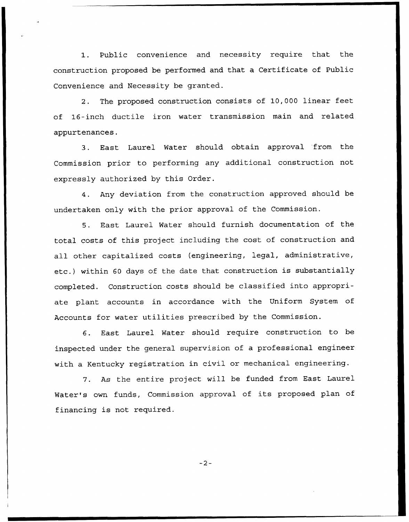1. Public convenience and necessity require that the construction proposed be performed and that a Certificate of Public Convenience and Necessity be granted.

2. The proposed construction consists of 10,000 linear feet of 16-inch ductile iron water transmission main and related appurtenances.

3. East Laurel Water should obtain approval from the Commission prior to performing any additional construction not expressly authorized by this Order.

4. Any deviation from the construction approved should be undertaken only with the prior approval of the Commission.

5. East Laurel Water should furnish documentation of the total costs of this project including the cost of construction and all other capitalized costs {engineering, legal, administrative, etc.) within <sup>60</sup> days of the date that construction is substantially completed. Construction costs should be classified into appropriate plant accounts in accordance with the Uniform System of Accounts for water utilities prescribed by the Commission.

6. East Laurel Water should require construction to be inspected under the general supervision of a professional engineer with a Kentucky registration in civil or mechanical engineering.

7. As the entire project will be funded from East Laurel Water's own funds, Commission approval of its proposed plan of financing is not required.

 $-2-$